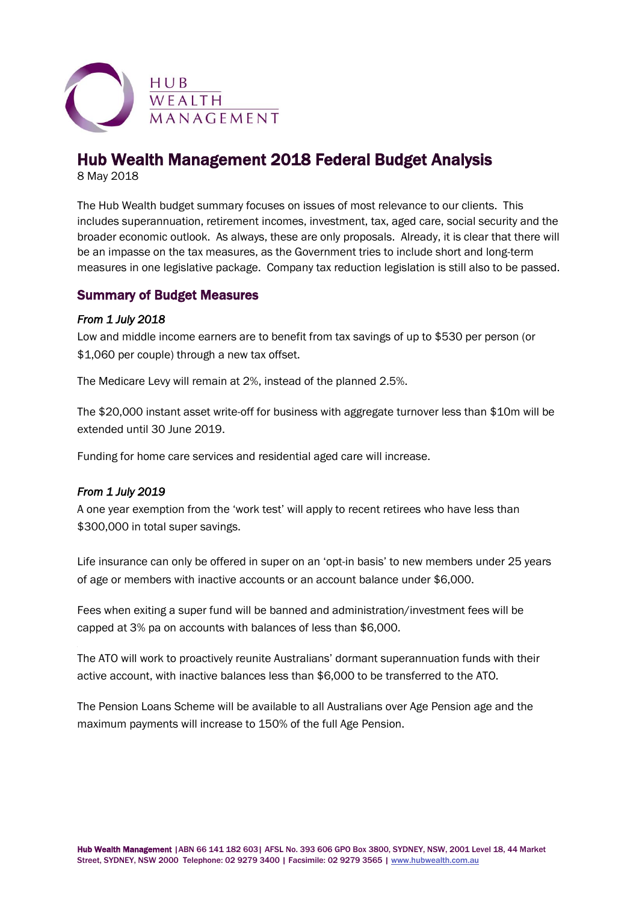

# Hub Wealth Management 2018 Federal Budget Analysis

8 May 2018

The Hub Wealth budget summary focuses on issues of most relevance to our clients. This includes superannuation, retirement incomes, investment, tax, aged care, social security and the broader economic outlook. As always, these are only proposals. Already, it is clear that there will be an impasse on the tax measures, as the Government tries to include short and long-term measures in one legislative package. Company tax reduction legislation is still also to be passed.

## Summary of Budget Measures

#### *From 1 July 2018*

Low and middle income earners are to benefit from tax savings of up to \$530 per person (or \$1,060 per couple) through a new tax offset.

The Medicare Levy will remain at 2%, instead of the planned 2.5%.

The \$20,000 instant asset write-off for business with aggregate turnover less than \$10m will be extended until 30 June 2019.

Funding for home care services and residential aged care will increase.

## *From 1 July 2019*

A one year exemption from the 'work test' will apply to recent retirees who have less than \$300,000 in total super savings.

Life insurance can only be offered in super on an 'opt-in basis' to new members under 25 years of age or members with inactive accounts or an account balance under \$6,000.

Fees when exiting a super fund will be banned and administration/investment fees will be capped at 3% pa on accounts with balances of less than \$6,000.

The ATO will work to proactively reunite Australians' dormant superannuation funds with their active account, with inactive balances less than \$6,000 to be transferred to the ATO.

The Pension Loans Scheme will be available to all Australians over Age Pension age and the maximum payments will increase to 150% of the full Age Pension.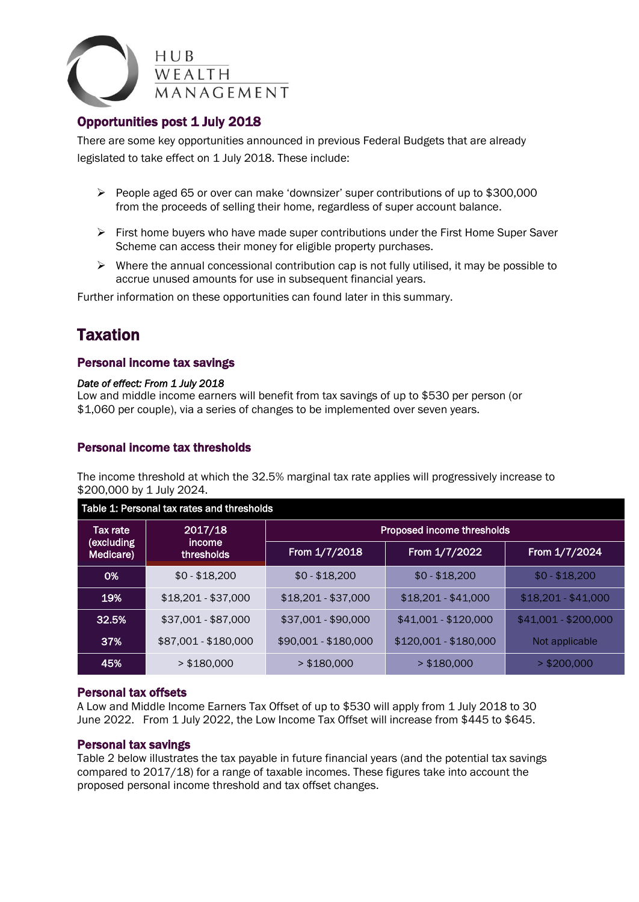

## Opportunities post 1 July 2018

There are some key opportunities announced in previous Federal Budgets that are already legislated to take effect on 1 July 2018. These include:

- $\triangleright$  People aged 65 or over can make 'downsizer' super contributions of up to \$300,000 from the proceeds of selling their home, regardless of super account balance.
- $\triangleright$  First home buyers who have made super contributions under the First Home Super Saver Scheme can access their money for eligible property purchases.
- $\triangleright$  Where the annual concessional contribution cap is not fully utilised, it may be possible to accrue unused amounts for use in subsequent financial years.

Further information on these opportunities can found later in this summary.

## **Taxation**

## Personal income tax savings

#### *Date of effect: From 1 July 2018*

Low and middle income earners will benefit from tax savings of up to \$530 per person (or \$1,060 per couple), via a series of changes to be implemented over seven years.

### Personal income tax thresholds

The income threshold at which the 32.5% marginal tax rate applies will progressively increase to \$200,000 by 1 July 2024.

| Table 1: Personal tax rates and thresholds      |                      |                            |                       |                      |  |
|-------------------------------------------------|----------------------|----------------------------|-----------------------|----------------------|--|
| Tax rate                                        | 2017/18              | Proposed income thresholds |                       |                      |  |
| (excluding<br>income<br>Medicare)<br>thresholds |                      | From 1/7/2018              | From 1/7/2022         | From 1/7/2024        |  |
| 0%                                              | $$0 - $18,200$       | $$0 - $18,200$             | $$0 - $18,200$        | $$0 - $18,200$       |  |
| 19%                                             | $$18,201 - $37,000$  | $$18,201 - $37,000$        | $$18,201 - $41,000$   | $$18,201 - $41,000$  |  |
| 32.5%                                           | \$37,001 - \$87,000  | \$37,001 - \$90,000        | $$41,001 - $120,000$  | \$41,001 - \$200,000 |  |
| 37%                                             | \$87,001 - \$180,000 | \$90,001 - \$180,000       | $$120,001 - $180,000$ | Not applicable       |  |
| 45%                                             | > \$180,000          | > \$180,000                | > \$180,000           | $>$ \$200,000        |  |

## Personal tax offsets

A Low and Middle Income Earners Tax Offset of up to \$530 will apply from 1 July 2018 to 30 June 2022. From 1 July 2022, the Low Income Tax Offset will increase from \$445 to \$645.

#### Personal tax savings

Table 2 below illustrates the tax payable in future financial years (and the potential tax savings compared to 2017/18) for a range of taxable incomes. These figures take into account the proposed personal income threshold and tax offset changes.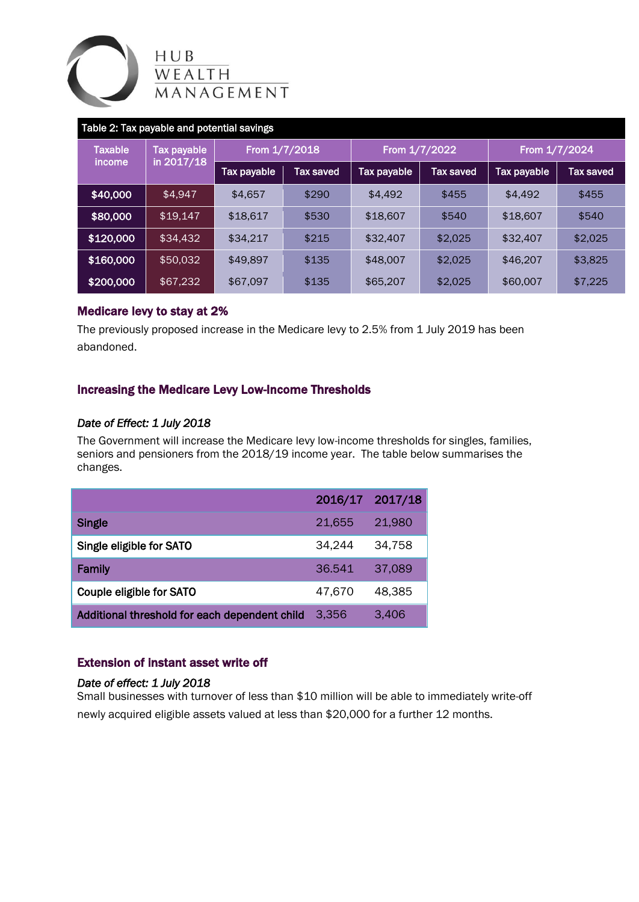

H U B<br>W E A L T H<br>M A N A G E M E N T

| Table 2: Tax payable and potential savings |                           |               |           |               |           |               |           |
|--------------------------------------------|---------------------------|---------------|-----------|---------------|-----------|---------------|-----------|
| <b>Taxable</b>                             | Tax payable<br>in 2017/18 | From 1/7/2018 |           | From 1/7/2022 |           | From 1/7/2024 |           |
| income                                     |                           | Tax payable   | Tax saved | Tax payable   | Tax saved | Tax payable   | Tax saved |
| \$40,000                                   | \$4.947                   | \$4,657       | \$290     | \$4,492       | \$455     | \$4,492       | \$455     |
| \$80,000                                   | \$19.147                  | \$18,617      | \$530     | \$18,607      | \$540     | \$18,607      | \$540     |
| \$120,000                                  | \$34.432                  | \$34,217      | \$215     | \$32,407      | \$2,025   | \$32,407      | \$2,025   |
| \$160,000                                  | \$50.032                  | \$49,897      | \$135     | \$48,007      | \$2,025   | \$46,207      | \$3,825   |
| \$200,000                                  | \$67,232                  | \$67,097      | \$135     | \$65,207      | \$2,025   | \$60,007      | \$7,225   |

### Medicare levy to stay at 2%

The previously proposed increase in the Medicare levy to 2.5% from 1 July 2019 has been abandoned.

## Increasing the Medicare Levy Low-Income Thresholds

## *Date of Effect: 1 July 2018*

The Government will increase the Medicare levy low-income thresholds for singles, families, seniors and pensioners from the 2018/19 income year. The table below summarises the changes.

|                                               | 2016/17 | 2017/18 |
|-----------------------------------------------|---------|---------|
| <b>Single</b>                                 | 21,655  | 21,980  |
| Single eligible for SATO                      | 34,244  | 34,758  |
| Family                                        | 36.541  | 37,089  |
| Couple eligible for SATO                      | 47,670  | 48,385  |
| Additional threshold for each dependent child | 3,356   | 3,406   |

## Extension of instant asset write off

## *Date of effect: 1 July 2018*

Small businesses with turnover of less than \$10 million will be able to immediately write-off newly acquired eligible assets valued at less than \$20,000 for a further 12 months.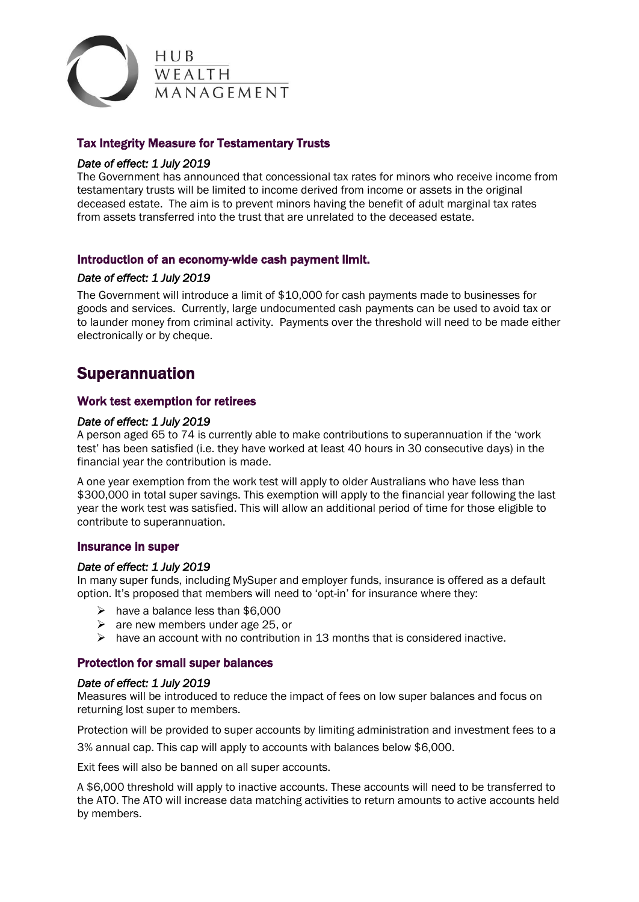

## Tax Integrity Measure for Testamentary Trusts

#### *Date of effect: 1 July 2019*

The Government has announced that concessional tax rates for minors who receive income from testamentary trusts will be limited to income derived from income or assets in the original deceased estate. The aim is to prevent minors having the benefit of adult marginal tax rates from assets transferred into the trust that are unrelated to the deceased estate.

#### Introduction of an economy-wide cash payment limit.

## *Date of effect: 1 July 2019*

The Government will introduce a limit of \$10,000 for cash payments made to businesses for goods and services. Currently, large undocumented cash payments can be used to avoid tax or to launder money from criminal activity. Payments over the threshold will need to be made either electronically or by cheque.

## Superannuation

#### Work test exemption for retirees

## *Date of effect: 1 July 2019*

A person aged 65 to 74 is currently able to make contributions to superannuation if the 'work test' has been satisfied (i.e. they have worked at least 40 hours in 30 consecutive days) in the financial year the contribution is made.

A one year exemption from the work test will apply to older Australians who have less than \$300,000 in total super savings. This exemption will apply to the financial year following the last year the work test was satisfied. This will allow an additional period of time for those eligible to contribute to superannuation.

#### Insurance in super

#### *Date of effect: 1 July 2019*

In many super funds, including MySuper and employer funds, insurance is offered as a default option. It's proposed that members will need to 'opt-in' for insurance where they:

- $\blacktriangleright$  have a balance less than \$6,000
- $\geq$  are new members under age 25, or
- $\triangleright$  have an account with no contribution in 13 months that is considered inactive.

#### Protection for small super balances

#### *Date of effect: 1 July 2019*

Measures will be introduced to reduce the impact of fees on low super balances and focus on returning lost super to members.

Protection will be provided to super accounts by limiting administration and investment fees to a

3% annual cap. This cap will apply to accounts with balances below \$6,000.

Exit fees will also be banned on all super accounts.

A \$6,000 threshold will apply to inactive accounts. These accounts will need to be transferred to the ATO. The ATO will increase data matching activities to return amounts to active accounts held by members.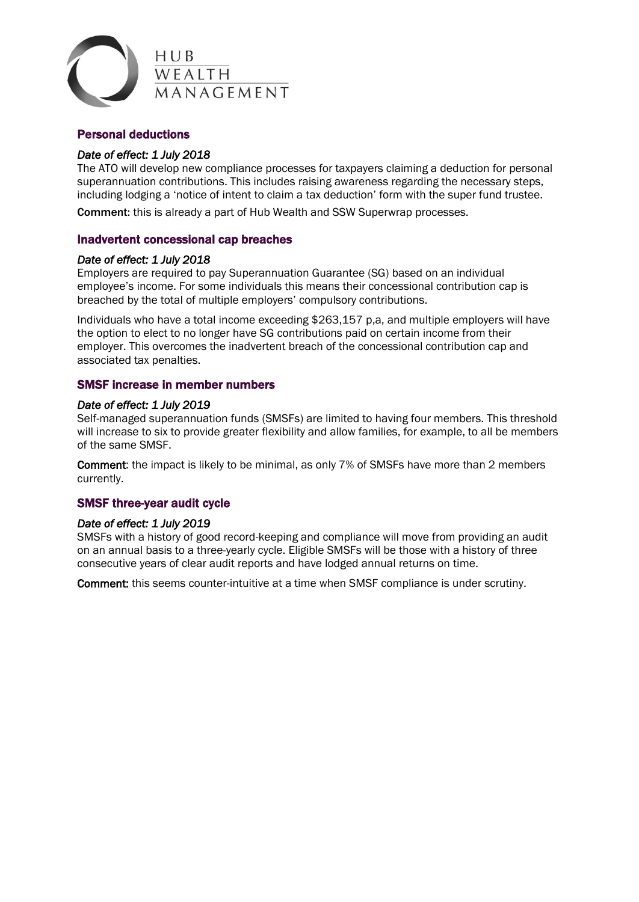

## Personal deductions

## *Date of effect: 1 July 2018*

The ATO will develop new compliance processes for taxpayers claiming a deduction for personal superannuation contributions. This includes raising awareness regarding the necessary steps, including lodging a 'notice of intent to claim a tax deduction' form with the super fund trustee.

Comment: this is already a part of Hub Wealth and SSW Superwrap processes.

#### Inadvertent concessional cap breaches

#### *Date of effect: 1 July 2018*

Employers are required to pay Superannuation Guarantee (SG) based on an individual employee's income. For some individuals this means their concessional contribution cap is breached by the total of multiple employers' compulsory contributions.

Individuals who have a total income exceeding \$263,157 p,a, and multiple employers will have the option to elect to no longer have SG contributions paid on certain income from their employer. This overcomes the inadvertent breach of the concessional contribution cap and associated tax penalties.

#### SMSF increase in member numbers

#### *Date of effect: 1 July 2019*

Self-managed superannuation funds (SMSFs) are limited to having four members. This threshold will increase to six to provide greater flexibility and allow families, for example, to all be members of the same SMSF.

Comment: the impact is likely to be minimal, as only 7% of SMSFs have more than 2 members currently.

## SMSF three-year audit cycle

#### *Date of effect: 1 July 2019*

SMSFs with a history of good record-keeping and compliance will move from providing an audit on an annual basis to a three-yearly cycle. Eligible SMSFs will be those with a history of three consecutive years of clear audit reports and have lodged annual returns on time.

Comment: this seems counter-intuitive at a time when SMSF compliance is under scrutiny.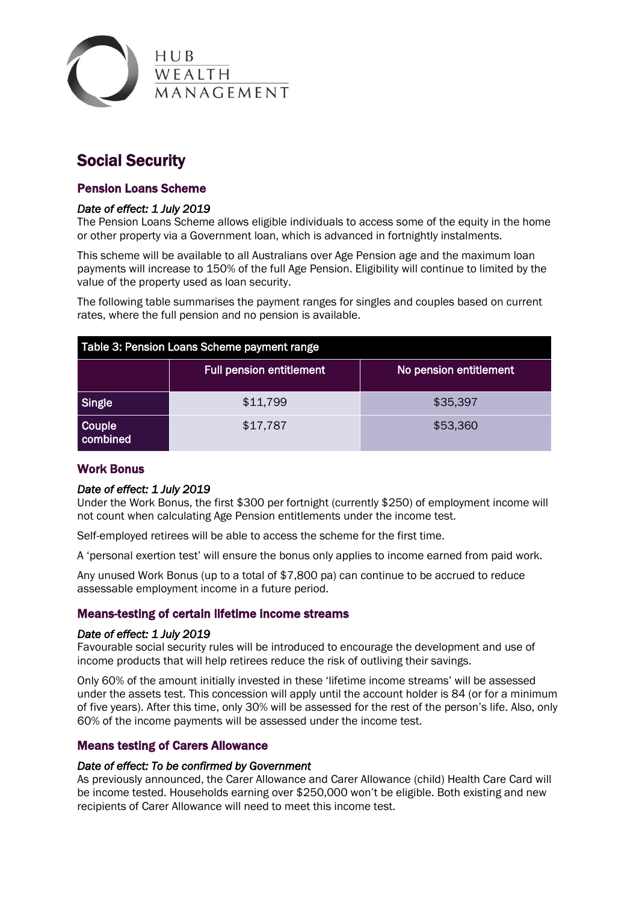

# Social Security

## Pension Loans Scheme

## *Date of effect: 1 July 2019*

The Pension Loans Scheme allows eligible individuals to access some of the equity in the home or other property via a Government loan, which is advanced in fortnightly instalments.

This scheme will be available to all Australians over Age Pension age and the maximum loan payments will increase to 150% of the full Age Pension. Eligibility will continue to limited by the value of the property used as loan security.

The following table summarises the payment ranges for singles and couples based on current rates, where the full pension and no pension is available.

| Table 3: Pension Loans Scheme payment range |                          |                        |  |  |
|---------------------------------------------|--------------------------|------------------------|--|--|
|                                             | Full pension entitlement | No pension entitlement |  |  |
| Single                                      | \$11,799                 | \$35,397               |  |  |
| Couple<br>combined                          | \$17,787                 | \$53,360               |  |  |

## Work Bonus

#### *Date of effect: 1 July 2019*

Under the Work Bonus, the first \$300 per fortnight (currently \$250) of employment income will not count when calculating Age Pension entitlements under the income test.

Self-employed retirees will be able to access the scheme for the first time.

A 'personal exertion test' will ensure the bonus only applies to income earned from paid work.

Any unused Work Bonus (up to a total of \$7,800 pa) can continue to be accrued to reduce assessable employment income in a future period.

## Means-testing of certain lifetime income streams

#### *Date of effect: 1 July 2019*

Favourable social security rules will be introduced to encourage the development and use of income products that will help retirees reduce the risk of outliving their savings.

Only 60% of the amount initially invested in these 'lifetime income streams' will be assessed under the assets test. This concession will apply until the account holder is 84 (or for a minimum of five years). After this time, only 30% will be assessed for the rest of the person's life. Also, only 60% of the income payments will be assessed under the income test.

## Means testing of Carers Allowance

#### *Date of effect: To be confirmed by Government*

As previously announced, the Carer Allowance and Carer Allowance (child) Health Care Card will be income tested. Households earning over \$250,000 won't be eligible. Both existing and new recipients of Carer Allowance will need to meet this income test.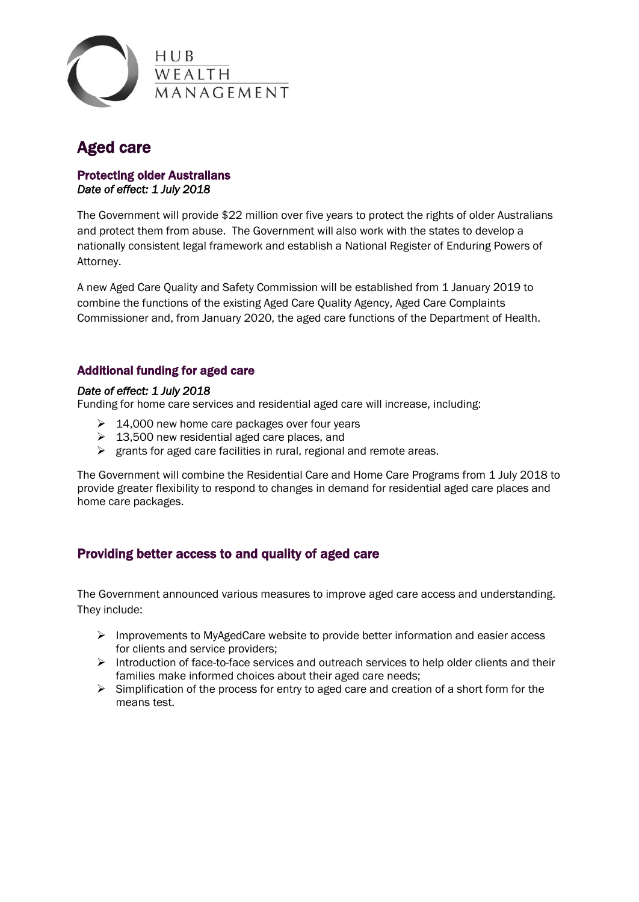

## Aged care

## Protecting older Australians *Date of effect: 1 July 2018*

The Government will provide \$22 million over five years to protect the rights of older Australians and protect them from abuse. The Government will also work with the states to develop a nationally consistent legal framework and establish a National Register of Enduring Powers of Attorney.

A new Aged Care Quality and Safety Commission will be established from 1 January 2019 to combine the functions of the existing Aged Care Quality Agency, Aged Care Complaints Commissioner and, from January 2020, the aged care functions of the Department of Health.

## Additional funding for aged care

## *Date of effect: 1 July 2018*

Funding for home care services and residential aged care will increase, including:

- $\geq 14,000$  new home care packages over four years
- $\geq 13,500$  new residential aged care places, and
- $\triangleright$  grants for aged care facilities in rural, regional and remote areas.

The Government will combine the Residential Care and Home Care Programs from 1 July 2018 to provide greater flexibility to respond to changes in demand for residential aged care places and home care packages.

## Providing better access to and quality of aged care

The Government announced various measures to improve aged care access and understanding. They include:

- Improvements to MyAgedCare website to provide better information and easier access for clients and service providers;
- $\triangleright$  Introduction of face-to-face services and outreach services to help older clients and their families make informed choices about their aged care needs;
- $\triangleright$  Simplification of the process for entry to aged care and creation of a short form for the means test.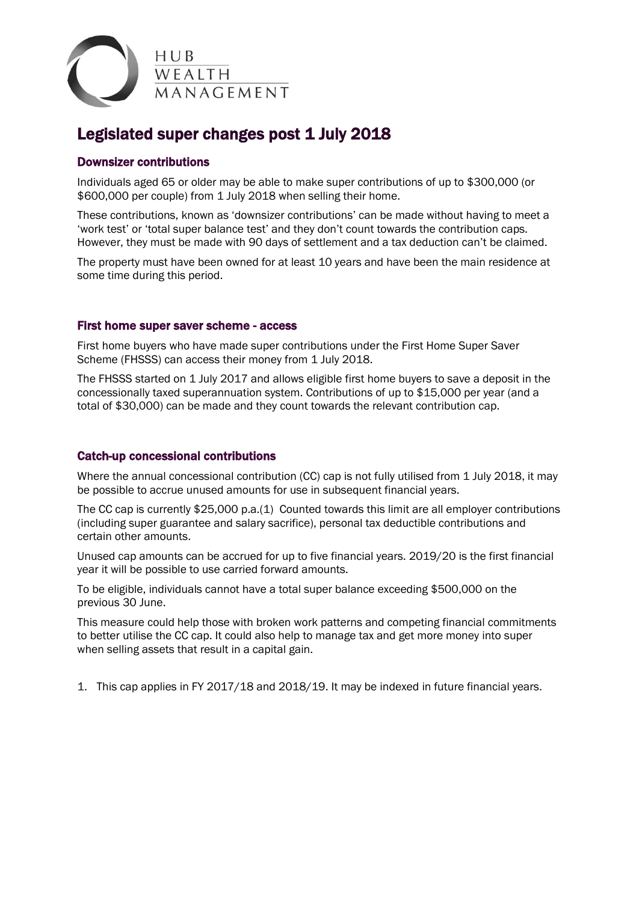

# Legislated super changes post 1 July 2018

## Downsizer contributions

Individuals aged 65 or older may be able to make super contributions of up to \$300,000 (or \$600,000 per couple) from 1 July 2018 when selling their home.

These contributions, known as 'downsizer contributions' can be made without having to meet a 'work test' or 'total super balance test' and they don't count towards the contribution caps. However, they must be made with 90 days of settlement and a tax deduction can't be claimed.

The property must have been owned for at least 10 years and have been the main residence at some time during this period.

#### First home super saver scheme - access

First home buyers who have made super contributions under the First Home Super Saver Scheme (FHSSS) can access their money from 1 July 2018.

The FHSSS started on 1 July 2017 and allows eligible first home buyers to save a deposit in the concessionally taxed superannuation system. Contributions of up to \$15,000 per year (and a total of \$30,000) can be made and they count towards the relevant contribution cap.

#### Catch-up concessional contributions

Where the annual concessional contribution (CC) cap is not fully utilised from 1 July 2018, it may be possible to accrue unused amounts for use in subsequent financial years.

The CC cap is currently \$25,000 p.a.(1) Counted towards this limit are all employer contributions (including super guarantee and salary sacrifice), personal tax deductible contributions and certain other amounts.

Unused cap amounts can be accrued for up to five financial years. 2019/20 is the first financial year it will be possible to use carried forward amounts.

To be eligible, individuals cannot have a total super balance exceeding \$500,000 on the previous 30 June.

This measure could help those with broken work patterns and competing financial commitments to better utilise the CC cap. It could also help to manage tax and get more money into super when selling assets that result in a capital gain.

1. This cap applies in FY 2017/18 and 2018/19. It may be indexed in future financial years.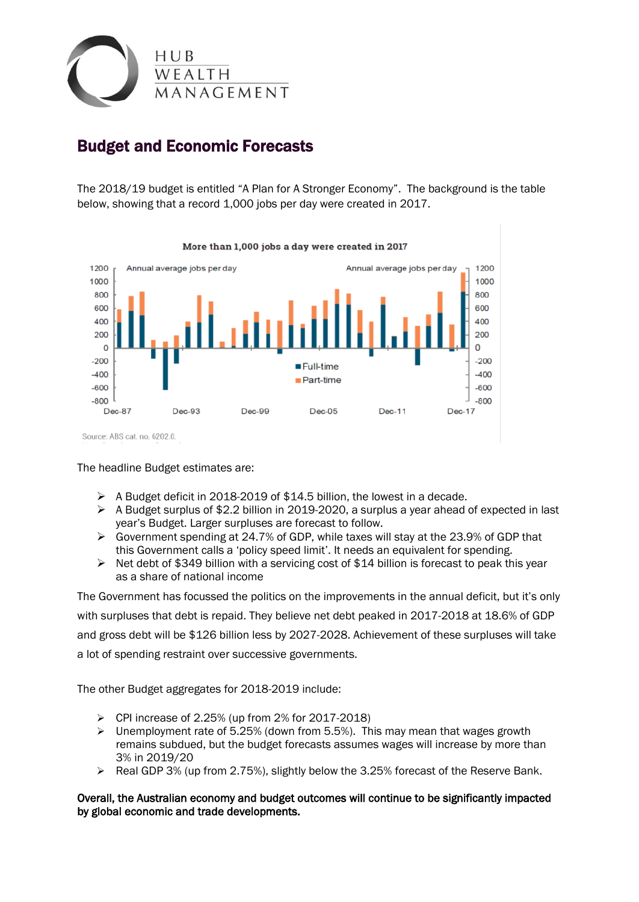

# Budget and Economic Forecasts

The 2018/19 budget is entitled "A Plan for A Stronger Economy". The background is the table below, showing that a record 1,000 jobs per day were created in 2017.



Source: ABS cat. no. 6202.0.

The headline Budget estimates are:

- $\triangleright$  A Budget deficit in 2018-2019 of \$14.5 billion, the lowest in a decade.
- $\triangleright$  A Budget surplus of \$2.2 billion in 2019-2020, a surplus a year ahead of expected in last year's Budget. Larger surpluses are forecast to follow.
- $\triangleright$  Government spending at 24.7% of GDP, while taxes will stay at the 23.9% of GDP that this Government calls a 'policy speed limit'. It needs an equivalent for spending.
- $\triangleright$  Net debt of \$349 billion with a servicing cost of \$14 billion is forecast to peak this year as a share of national income

The Government has focussed the politics on the improvements in the annual deficit, but it's only with surpluses that debt is repaid. They believe net debt peaked in 2017-2018 at 18.6% of GDP and gross debt will be \$126 billion less by 2027-2028. Achievement of these surpluses will take a lot of spending restraint over successive governments.

The other Budget aggregates for 2018-2019 include:

- $\triangleright$  CPI increase of 2.25% (up from 2% for 2017-2018)
- $\triangleright$  Unemployment rate of 5.25% (down from 5.5%). This may mean that wages growth remains subdued, but the budget forecasts assumes wages will increase by more than 3% in 2019/20
- Real GDP 3% (up from 2.75%), slightly below the 3.25% forecast of the Reserve Bank.

#### Overall, the Australian economy and budget outcomes will continue to be significantly impacted by global economic and trade developments.